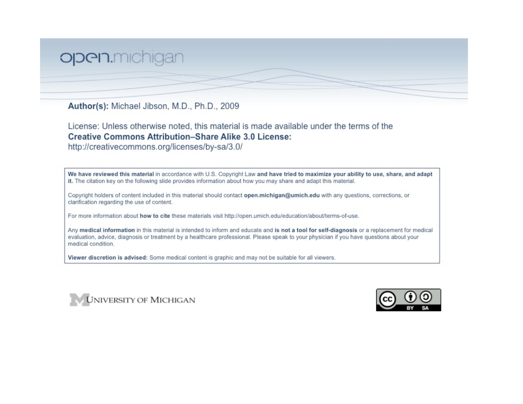## open.michigan

Author(s): Michael Jibson, M.D., Ph.D., 2009

License: Unless otherwise noted, this material is made available under the terms of the **Creative Commons Attribution-Share Alike 3.0 License:** 

http://creativecommons.org/licenses/by-sa/3.0/

We have reviewed this material in accordance with U.S. Copyright Law and have tried to maximize your ability to use, share, and adapt it. The citation key on the following slide provides information about how you may share and adapt this material.

Copyright holders of content included in this material should contact open.michigan@umich.edu with any questions, corrections, or clarification regarding the use of content.

For more information about how to cite these materials visit http://open.umich.edu/education/about/terms-of-use.

Any medical information in this material is intended to inform and educate and is not a tool for self-diagnosis or a replacement for medical evaluation, advice, diagnosis or treatment by a healthcare professional. Please speak to your physician if you have questions about your medical condition.

Viewer discretion is advised: Some medical content is graphic and may not be suitable for all viewers.